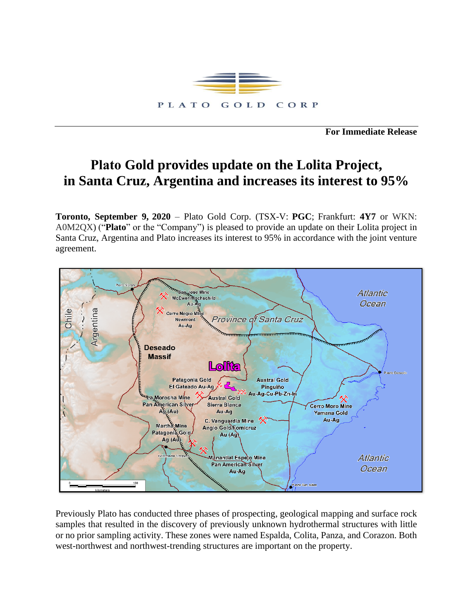

**For Immediate Release**

## **Plato Gold provides update on the Lolita Project, in Santa Cruz, Argentina and increases its interest to 95%**

**Toronto, September 9, 2020** – Plato Gold Corp. (TSX-V: **PGC**; Frankfurt: **4Y7** or WKN: A0M2QX) ("**Plato**" or the "Company") is pleased to provide an update on their Lolita project in Santa Cruz, Argentina and Plato increases its interest to 95% in accordance with the joint venture agreement.



Previously Plato has conducted three phases of prospecting, geological mapping and surface rock samples that resulted in the discovery of previously unknown hydrothermal structures with little or no prior sampling activity. These zones were named Espalda, Colita, Panza, and Corazon. Both west-northwest and northwest-trending structures are important on the property.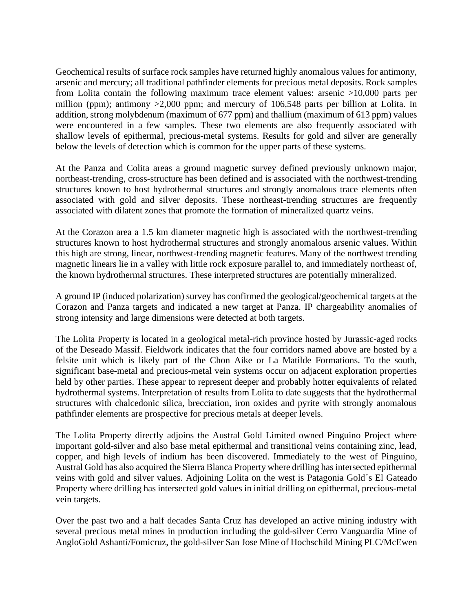Geochemical results of surface rock samples have returned highly anomalous values for antimony, arsenic and mercury; all traditional pathfinder elements for precious metal deposits. Rock samples from Lolita contain the following maximum trace element values: arsenic >10,000 parts per million (ppm); antimony >2,000 ppm; and mercury of 106,548 parts per billion at Lolita. In addition, strong molybdenum (maximum of 677 ppm) and thallium (maximum of 613 ppm) values were encountered in a few samples. These two elements are also frequently associated with shallow levels of epithermal, precious-metal systems. Results for gold and silver are generally below the levels of detection which is common for the upper parts of these systems.

At the Panza and Colita areas a ground magnetic survey defined previously unknown major, northeast-trending, cross-structure has been defined and is associated with the northwest-trending structures known to host hydrothermal structures and strongly anomalous trace elements often associated with gold and silver deposits. These northeast-trending structures are frequently associated with dilatent zones that promote the formation of mineralized quartz veins.

At the Corazon area a 1.5 km diameter magnetic high is associated with the northwest-trending structures known to host hydrothermal structures and strongly anomalous arsenic values. Within this high are strong, linear, northwest-trending magnetic features. Many of the northwest trending magnetic linears lie in a valley with little rock exposure parallel to, and immediately northeast of, the known hydrothermal structures. These interpreted structures are potentially mineralized.

A ground IP (induced polarization) survey has confirmed the geological/geochemical targets at the Corazon and Panza targets and indicated a new target at Panza. IP chargeability anomalies of strong intensity and large dimensions were detected at both targets.

The Lolita Property is located in a geological metal-rich province hosted by Jurassic-aged rocks of the Deseado Massif. Fieldwork indicates that the four corridors named above are hosted by a felsite unit which is likely part of the Chon Aike or La Matilde Formations. To the south, significant base-metal and precious-metal vein systems occur on adjacent exploration properties held by other parties. These appear to represent deeper and probably hotter equivalents of related hydrothermal systems. Interpretation of results from Lolita to date suggests that the hydrothermal structures with chalcedonic silica, brecciation, iron oxides and pyrite with strongly anomalous pathfinder elements are prospective for precious metals at deeper levels.

The Lolita Property directly adjoins the Austral Gold Limited owned Pinguino Project where important gold-silver and also base metal epithermal and transitional veins containing zinc, lead, copper, and high levels of indium has been discovered. Immediately to the west of Pinguino, Austral Gold has also acquired the Sierra Blanca Property where drilling has intersected epithermal veins with gold and silver values. Adjoining Lolita on the west is Patagonia Gold´s El Gateado Property where drilling has intersected gold values in initial drilling on epithermal, precious-metal vein targets.

Over the past two and a half decades Santa Cruz has developed an active mining industry with several precious metal mines in production including the gold-silver Cerro Vanguardia Mine of AngloGold Ashanti/Fomicruz, the gold-silver San Jose Mine of Hochschild Mining PLC/McEwen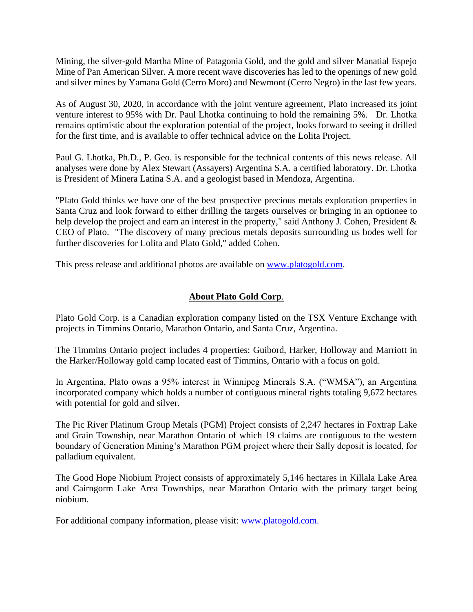Mining, the silver-gold Martha Mine of Patagonia Gold, and the gold and silver Manatial Espejo Mine of Pan American Silver. A more recent wave discoveries has led to the openings of new gold and silver mines by Yamana Gold (Cerro Moro) and Newmont (Cerro Negro) in the last few years.

As of August 30, 2020, in accordance with the joint venture agreement, Plato increased its joint venture interest to 95% with Dr. Paul Lhotka continuing to hold the remaining 5%. Dr. Lhotka remains optimistic about the exploration potential of the project, looks forward to seeing it drilled for the first time, and is available to offer technical advice on the Lolita Project.

Paul G. Lhotka, Ph.D., P. Geo. is responsible for the technical contents of this news release. All analyses were done by Alex Stewart (Assayers) Argentina S.A. a certified laboratory. Dr. Lhotka is President of Minera Latina S.A. and a geologist based in Mendoza, Argentina.

"Plato Gold thinks we have one of the best prospective precious metals exploration properties in Santa Cruz and look forward to either drilling the targets ourselves or bringing in an optionee to help develop the project and earn an interest in the property," said Anthony J. Cohen, President & CEO of Plato. "The discovery of many precious metals deposits surrounding us bodes well for further discoveries for Lolita and Plato Gold," added Cohen.

This press release and additional photos are available on [www.platogold.com.](http://www.platogold.com/)

## **About Plato Gold Corp**.

Plato Gold Corp. is a Canadian exploration company listed on the TSX Venture Exchange with projects in Timmins Ontario, Marathon Ontario, and Santa Cruz, Argentina.

The Timmins Ontario project includes 4 properties: Guibord, Harker, Holloway and Marriott in the Harker/Holloway gold camp located east of Timmins, Ontario with a focus on gold.

In Argentina, Plato owns a 95% interest in Winnipeg Minerals S.A. ("WMSA"), an Argentina incorporated company which holds a number of contiguous mineral rights totaling 9,672 hectares with potential for gold and silver.

The Pic River Platinum Group Metals (PGM) Project consists of 2,247 hectares in Foxtrap Lake and Grain Township, near Marathon Ontario of which 19 claims are contiguous to the western boundary of Generation Mining's Marathon PGM project where their Sally deposit is located, for palladium equivalent.

The Good Hope Niobium Project consists of approximately 5,146 hectares in Killala Lake Area and Cairngorm Lake Area Townships, near Marathon Ontario with the primary target being niobium.

For additional company information, please visit: [www.platogold.com.](http://www.platogold.com/)